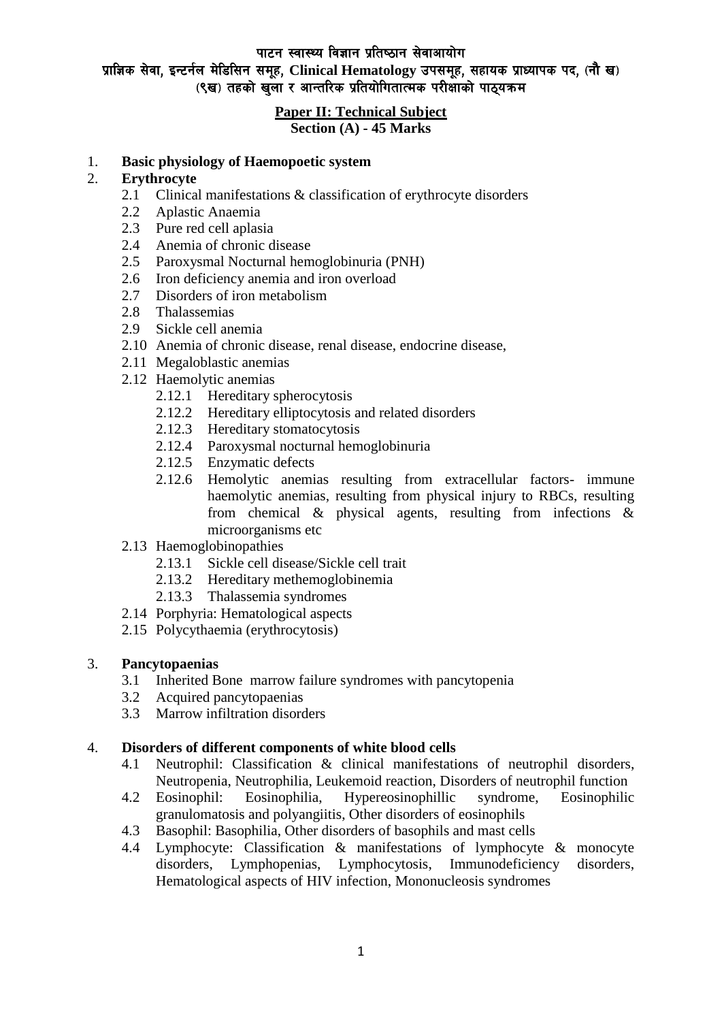पाटन स्वास्थ्य विज्ञान प्रतिष्ठान सेवाआयोग

प्राज्ञिक सेवा, इन्टर्नल मेडिसिन समूह, Clinical Hematology उपसमूह, सहायक प्राध्यापक पद, (नौ ख) (९ख) तहको खला र आन्तरिक प्रतियोगितात्मक परीक्षाको पाठयक्रम

# **Paper II: Technical Subject Section (A) - 45 Marks**

# 1. **Basic physiology of Haemopoetic system**

### 2. **Erythrocyte**

- 2.1 Clinical manifestations & classification of erythrocyte disorders
- 2.2 Aplastic Anaemia
- 2.3 Pure red cell aplasia
- 2.4 Anemia of chronic disease
- 2.5 Paroxysmal Nocturnal hemoglobinuria (PNH)
- 2.6 Iron deficiency anemia and iron overload
- 2.7 Disorders of iron metabolism
- 2.8 Thalassemias
- 2.9 Sickle cell anemia
- 2.10 Anemia of chronic disease, renal disease, endocrine disease,
- 2.11 Megaloblastic anemias
- 2.12 Haemolytic anemias
	- 2.12.1 Hereditary spherocytosis
	- 2.12.2 Hereditary elliptocytosis and related disorders
	- 2.12.3 Hereditary stomatocytosis
	- 2.12.4 Paroxysmal nocturnal hemoglobinuria
	- 2.12.5 Enzymatic defects
	- 2.12.6 Hemolytic anemias resulting from extracellular factors- immune haemolytic anemias, resulting from physical injury to RBCs, resulting from chemical & physical agents, resulting from infections & microorganisms etc
- 2.13 Haemoglobinopathies
	- 2.13.1 Sickle cell disease/Sickle cell trait
	- 2.13.2 Hereditary methemoglobinemia
	- 2.13.3 Thalassemia syndromes
- 2.14 Porphyria: Hematological aspects
- 2.15 Polycythaemia (erythrocytosis)

#### 3. **Pancytopaenias**

- 3.1 Inherited Bone marrow failure syndromes with pancytopenia
- 3.2 Acquired pancytopaenias
- 3.3 Marrow infiltration disorders

#### 4. **Disorders of different components of white blood cells**

- 4.1 Neutrophil: Classification & clinical manifestations of neutrophil disorders, Neutropenia, Neutrophilia, Leukemoid reaction, Disorders of neutrophil function
- 4.2 Eosinophil: Eosinophilia, Hypereosinophillic syndrome, Eosinophilic granulomatosis and polyangiitis, Other disorders of eosinophils
- 4.3 Basophil: Basophilia, Other disorders of basophils and mast cells
- 4.4 Lymphocyte: Classification & manifestations of lymphocyte & monocyte disorders, Lymphopenias, Lymphocytosis, Immunodeficiency disorders, Hematological aspects of HIV infection, Mononucleosis syndromes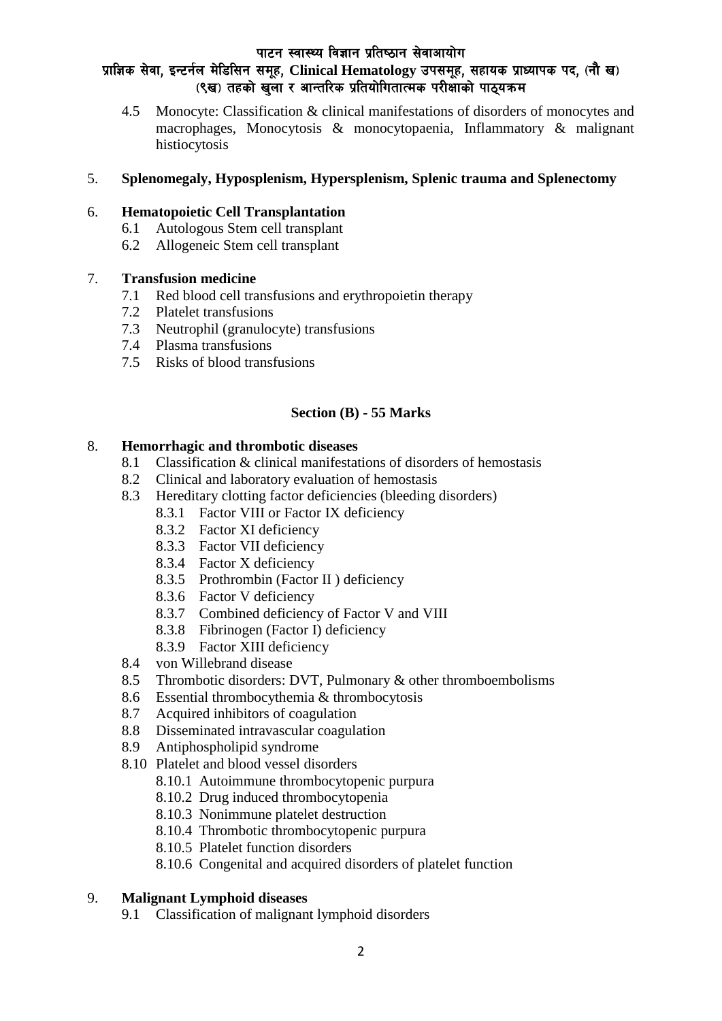### पाटन स्वास्थ्य विज्ञान प्रतिष्ठान सेवाआयोग प्राज्ञिक सेवा, इन्टर्नल मेडिसिन समूह, Clinical Hematology उपसमूह, सहायक प्राध्यापक पद, (नौ ख) (९ख) तहको खला र आन्तरिक प्रतियोगितात्मक परीक्षाको पाठयक्रम

4.5 Monocyte: Classification & clinical manifestations of disorders of monocytes and macrophages, Monocytosis & monocytopaenia, Inflammatory & malignant histiocytosis

# 5. **Splenomegaly, Hyposplenism, Hypersplenism, Splenic trauma and Splenectomy**

# 6. **Hematopoietic Cell Transplantation**

- 6.1 Autologous Stem cell transplant
- 6.2 Allogeneic Stem cell transplant

# 7. **Transfusion medicine**

- 7.1 Red blood cell transfusions and erythropoietin therapy
- 7.2 Platelet transfusions
- 7.3 Neutrophil (granulocyte) transfusions
- 7.4 Plasma transfusions
- 7.5 Risks of blood transfusions

# **Section (B) - 55 Marks**

#### 8. **Hemorrhagic and thrombotic diseases**

- 8.1 Classification & clinical manifestations of disorders of hemostasis
- 8.2 Clinical and laboratory evaluation of hemostasis
- 8.3 Hereditary clotting factor deficiencies (bleeding disorders)
	- 8.3.1 Factor VIII or Factor IX deficiency
	- 8.3.2 Factor XI deficiency
	- 8.3.3 Factor VII deficiency
	- 8.3.4 Factor X deficiency
	- 8.3.5 Prothrombin (Factor II ) deficiency
	- 8.3.6 Factor V deficiency
	- 8.3.7 Combined deficiency of Factor V and VIII
	- 8.3.8 Fibrinogen (Factor I) deficiency
	- 8.3.9 Factor XIII deficiency
- 8.4 von Willebrand disease
- 8.5 Thrombotic disorders: DVT, Pulmonary & other thromboembolisms
- 8.6 Essential thrombocythemia & thrombocytosis
- 8.7 Acquired inhibitors of coagulation
- 8.8 Disseminated intravascular coagulation
- 8.9 Antiphospholipid syndrome
- 8.10 Platelet and blood vessel disorders
	- 8.10.1 Autoimmune thrombocytopenic purpura
	- 8.10.2 Drug induced thrombocytopenia
	- 8.10.3 Nonimmune platelet destruction
	- 8.10.4 Thrombotic thrombocytopenic purpura
	- 8.10.5 Platelet function disorders
	- 8.10.6 Congenital and acquired disorders of platelet function

### 9. **Malignant Lymphoid diseases**

9.1 Classification of malignant lymphoid disorders